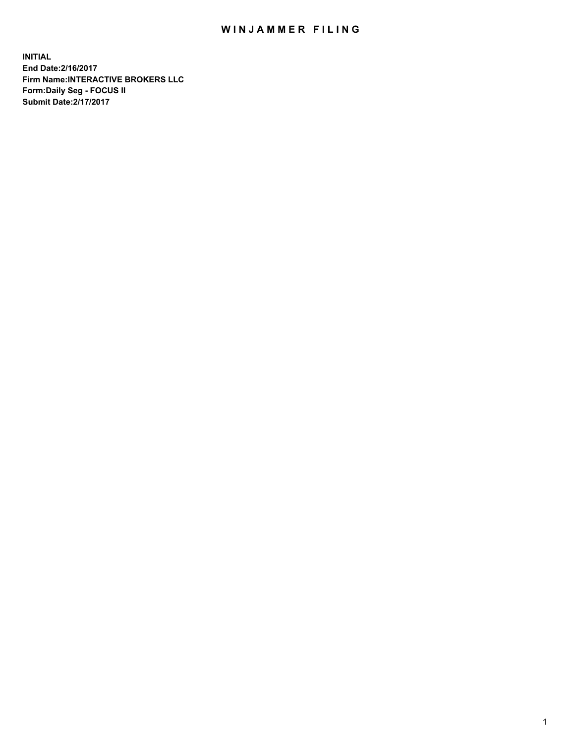## WIN JAMMER FILING

**INITIAL End Date:2/16/2017 Firm Name:INTERACTIVE BROKERS LLC Form:Daily Seg - FOCUS II Submit Date:2/17/2017**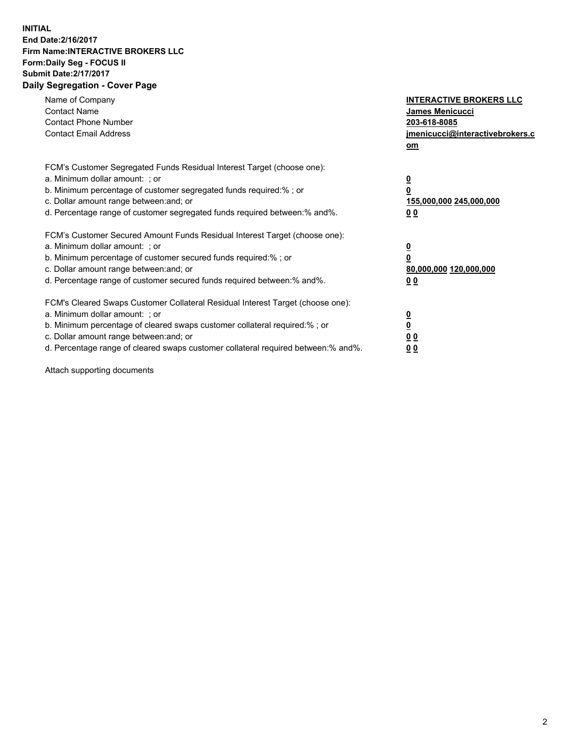## **INITIAL End Date:2/16/2017 Firm Name:INTERACTIVE BROKERS LLC Form:Daily Seg - FOCUS II Submit Date:2/17/2017 Daily Segregation - Cover Page**

| Name of Company<br><b>Contact Name</b><br><b>Contact Phone Number</b><br><b>Contact Email Address</b>                                                                                                                                                                                                                          | <b>INTERACTIVE BROKERS LLC</b><br>James Menicucci<br>203-618-8085<br>jmenicucci@interactivebrokers.c<br>om |
|--------------------------------------------------------------------------------------------------------------------------------------------------------------------------------------------------------------------------------------------------------------------------------------------------------------------------------|------------------------------------------------------------------------------------------------------------|
| FCM's Customer Segregated Funds Residual Interest Target (choose one):<br>a. Minimum dollar amount: ; or<br>b. Minimum percentage of customer segregated funds required:%; or<br>c. Dollar amount range between: and; or<br>d. Percentage range of customer segregated funds required between:% and%.                          | $\overline{\mathbf{0}}$<br>0<br>155,000,000 245,000,000<br>0 <sub>0</sub>                                  |
| FCM's Customer Secured Amount Funds Residual Interest Target (choose one):<br>a. Minimum dollar amount: ; or<br>b. Minimum percentage of customer secured funds required:%; or<br>c. Dollar amount range between: and; or<br>d. Percentage range of customer secured funds required between:% and%.                            | $\overline{\mathbf{0}}$<br>$\overline{\mathbf{0}}$<br>80,000,000 120,000,000<br>00                         |
| FCM's Cleared Swaps Customer Collateral Residual Interest Target (choose one):<br>a. Minimum dollar amount: ; or<br>b. Minimum percentage of cleared swaps customer collateral required:% ; or<br>c. Dollar amount range between: and; or<br>d. Percentage range of cleared swaps customer collateral required between:% and%. | $\overline{\mathbf{0}}$<br>$\overline{\mathbf{0}}$<br>0 <sub>0</sub><br><u>00</u>                          |

Attach supporting documents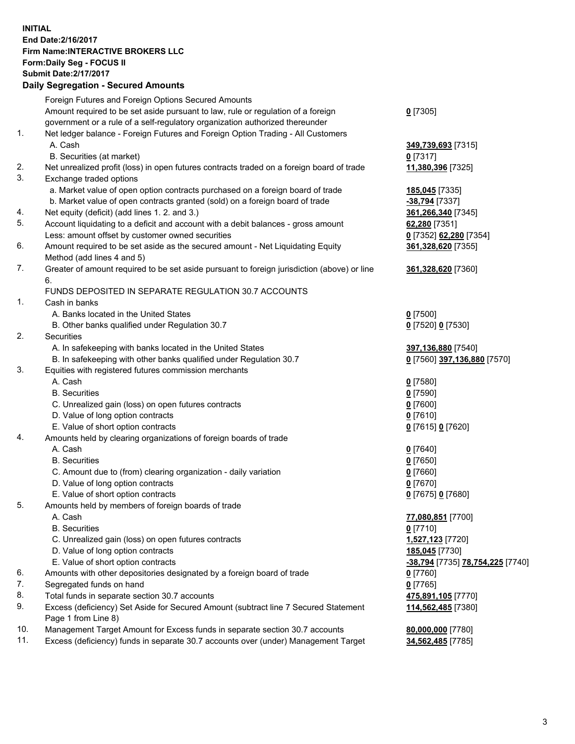## **INITIAL End Date:2/16/2017 Firm Name:INTERACTIVE BROKERS LLC Form:Daily Seg - FOCUS II Submit Date:2/17/2017 Daily Segregation - Secured Amounts**

|     | Dany Ocgregation - Oceanea Annoante                                                                        |                                        |
|-----|------------------------------------------------------------------------------------------------------------|----------------------------------------|
|     | Foreign Futures and Foreign Options Secured Amounts                                                        |                                        |
|     | Amount required to be set aside pursuant to law, rule or regulation of a foreign                           | $0$ [7305]                             |
|     | government or a rule of a self-regulatory organization authorized thereunder                               |                                        |
| 1.  | Net ledger balance - Foreign Futures and Foreign Option Trading - All Customers                            |                                        |
|     | A. Cash                                                                                                    | 349,739,693 [7315]                     |
|     | B. Securities (at market)                                                                                  | 0 [7317]                               |
| 2.  | Net unrealized profit (loss) in open futures contracts traded on a foreign board of trade                  | 11,380,396 [7325]                      |
| 3.  | Exchange traded options                                                                                    |                                        |
|     | a. Market value of open option contracts purchased on a foreign board of trade                             | 185,045 [7335]                         |
|     | b. Market value of open contracts granted (sold) on a foreign board of trade                               | -38,794 [7337]                         |
| 4.  | Net equity (deficit) (add lines 1.2. and 3.)                                                               | 361,266,340 [7345]                     |
| 5.  | Account liquidating to a deficit and account with a debit balances - gross amount                          | 62,280 [7351]                          |
|     | Less: amount offset by customer owned securities                                                           | 0 [7352] 62,280 [7354]                 |
| 6.  | Amount required to be set aside as the secured amount - Net Liquidating Equity                             | 361,328,620 [7355]                     |
|     | Method (add lines 4 and 5)                                                                                 |                                        |
| 7.  | Greater of amount required to be set aside pursuant to foreign jurisdiction (above) or line                | 361,328,620 [7360]                     |
|     | 6.                                                                                                         |                                        |
|     | FUNDS DEPOSITED IN SEPARATE REGULATION 30.7 ACCOUNTS                                                       |                                        |
| 1.  | Cash in banks                                                                                              |                                        |
|     | A. Banks located in the United States                                                                      | $0$ [7500]                             |
|     | B. Other banks qualified under Regulation 30.7                                                             | 0 [7520] 0 [7530]                      |
| 2.  | <b>Securities</b>                                                                                          |                                        |
|     | A. In safekeeping with banks located in the United States                                                  | 397,136,880 [7540]                     |
|     | B. In safekeeping with other banks qualified under Regulation 30.7                                         | 0 [7560] 397,136,880 [7570]            |
| 3.  | Equities with registered futures commission merchants                                                      |                                        |
|     | A. Cash                                                                                                    | $0$ [7580]                             |
|     | <b>B.</b> Securities                                                                                       | $0$ [7590]                             |
|     | C. Unrealized gain (loss) on open futures contracts                                                        | $0$ [7600]                             |
|     | D. Value of long option contracts                                                                          | $0$ [7610]                             |
|     | E. Value of short option contracts                                                                         | 0 [7615] 0 [7620]                      |
| 4.  | Amounts held by clearing organizations of foreign boards of trade                                          |                                        |
|     | A. Cash                                                                                                    | $0$ [7640]                             |
|     | <b>B.</b> Securities                                                                                       | $0$ [7650]                             |
|     | C. Amount due to (from) clearing organization - daily variation                                            | $0$ [7660]                             |
|     | D. Value of long option contracts                                                                          | $0$ [7670]                             |
|     | E. Value of short option contracts                                                                         | 0 [7675] 0 [7680]                      |
| 5.  | Amounts held by members of foreign boards of trade                                                         |                                        |
|     | A. Cash                                                                                                    | 77,080,851 [7700]                      |
|     | <b>B.</b> Securities                                                                                       | $0$ [7710]                             |
|     | C. Unrealized gain (loss) on open futures contracts                                                        | 1,527,123 [7720]                       |
|     | D. Value of long option contracts                                                                          | 185,045 [7730]                         |
|     | E. Value of short option contracts                                                                         | -38,794 [7735] 78,754,225 [7740]       |
| 6.  | Amounts with other depositories designated by a foreign board of trade                                     | $0$ [7760]                             |
| 7.  | Segregated funds on hand                                                                                   | $0$ [7765]                             |
| 8.  | Total funds in separate section 30.7 accounts                                                              | 475,891,105 [7770]                     |
| 9.  | Excess (deficiency) Set Aside for Secured Amount (subtract line 7 Secured Statement<br>Page 1 from Line 8) | 114,562,485 [7380]                     |
| 10. | Management Target Amount for Excess funds in separate section 30.7 accounts                                |                                        |
| 11. | Excess (deficiency) funds in separate 30.7 accounts over (under) Management Target                         | 80,000,000 [7780]<br>34,562,485 [7785] |
|     |                                                                                                            |                                        |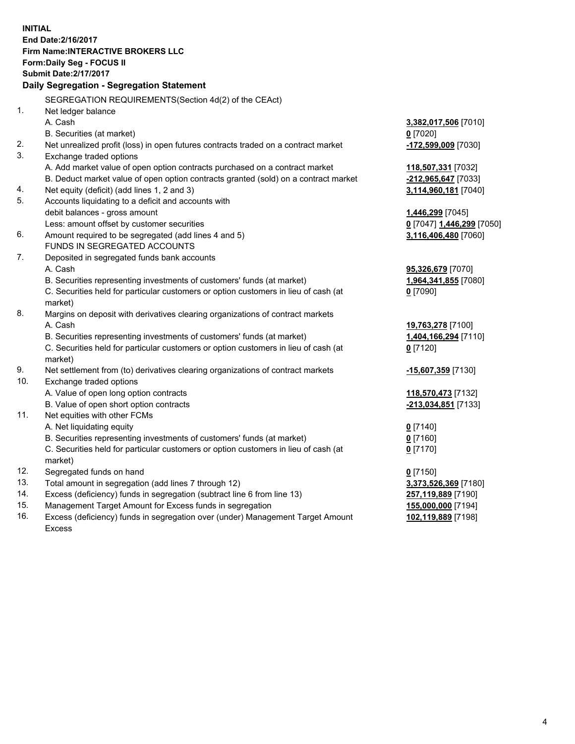**INITIAL End Date:2/16/2017 Firm Name:INTERACTIVE BROKERS LLC Form:Daily Seg - FOCUS II Submit Date:2/17/2017 Daily Segregation - Segregation Statement** SEGREGATION REQUIREMENTS(Section 4d(2) of the CEAct) 1. Net ledger balance A. Cash **3,382,017,506** [7010] B. Securities (at market) **0** [7020] 2. Net unrealized profit (loss) in open futures contracts traded on a contract market **-172,599,009** [7030] 3. Exchange traded options A. Add market value of open option contracts purchased on a contract market **118,507,331** [7032] B. Deduct market value of open option contracts granted (sold) on a contract market **-212,965,647** [7033] 4. Net equity (deficit) (add lines 1, 2 and 3) **3,114,960,181** [7040] 5. Accounts liquidating to a deficit and accounts with debit balances - gross amount **1,446,299** [7045] Less: amount offset by customer securities **0** [7047] **1,446,299** [7050] 6. Amount required to be segregated (add lines 4 and 5) **3,116,406,480** [7060] FUNDS IN SEGREGATED ACCOUNTS 7. Deposited in segregated funds bank accounts A. Cash **95,326,679** [7070] B. Securities representing investments of customers' funds (at market) **1,964,341,855** [7080] C. Securities held for particular customers or option customers in lieu of cash (at market) **0** [7090] 8. Margins on deposit with derivatives clearing organizations of contract markets A. Cash **19,763,278** [7100] B. Securities representing investments of customers' funds (at market) **1,404,166,294** [7110] C. Securities held for particular customers or option customers in lieu of cash (at market) **0** [7120] 9. Net settlement from (to) derivatives clearing organizations of contract markets **-15,607,359** [7130] 10. Exchange traded options A. Value of open long option contracts **118,570,473** [7132] B. Value of open short option contracts **-213,034,851** [7133] 11. Net equities with other FCMs A. Net liquidating equity **0** [7140] B. Securities representing investments of customers' funds (at market) **0** [7160] C. Securities held for particular customers or option customers in lieu of cash (at market) **0** [7170] 12. Segregated funds on hand **0** [7150] 13. Total amount in segregation (add lines 7 through 12) **3,373,526,369** [7180] 14. Excess (deficiency) funds in segregation (subtract line 6 from line 13) **257,119,889** [7190] 15. Management Target Amount for Excess funds in segregation **155,000,000** [7194] **102,119,889** [7198]

16. Excess (deficiency) funds in segregation over (under) Management Target Amount Excess